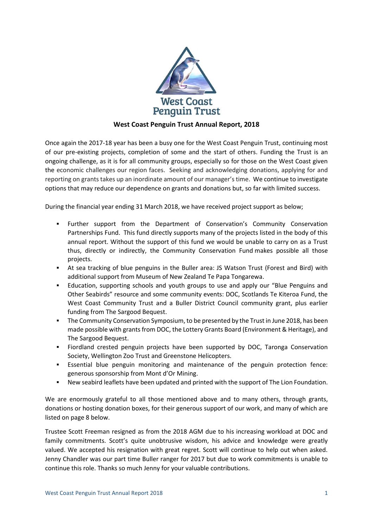

# **West Coast Penguin Trust Annual Report, 2018**

Once again the 2017-18 year has been a busy one for the West Coast Penguin Trust, continuing most of our pre-existing projects, completion of some and the start of others. Funding the Trust is an ongoing challenge, as it is for all community groups, especially so for those on the West Coast given the economic challenges our region faces. Seeking and acknowledging donations, applying for and reporting on grants takes up an inordinate amount of our manager's time. We continue to investigate options that may reduce our dependence on grants and donations but, so far with limited success.

During the financial year ending 31 March 2018, we have received project support as below;

- Further support from the Department of Conservation's Community Conservation Partnerships Fund. This fund directly supports many of the projects listed in the body of this annual report. Without the support of this fund we would be unable to carry on as a Trust thus, directly or indirectly, the Community Conservation Fund makes possible all those projects.
- At sea tracking of blue penguins in the Buller area: JS Watson Trust (Forest and Bird) with additional support from Museum of New Zealand Te Papa Tongarewa.
- **Education, supporting schools and youth groups to use and apply our "Blue Penguins and "** Other Seabirds" resource and some community events: DOC, Scotlands Te Kiteroa Fund, the West Coast Community Trust and a Buller District Council community grant, plus earlier funding from The Sargood Bequest.
- **•** The Community Conservation Symposium, to be presented by the Trust in June 2018, has been made possible with grants from DOC, the Lottery Grants Board (Environment & Heritage), and The Sargood Bequest.
- Fiordland crested penguin projects have been supported by DOC, Taronga Conservation Society, Wellington Zoo Trust and Greenstone Helicopters.
- Essential blue penguin monitoring and maintenance of the penguin protection fence: generous sponsorship from Mont d'Or Mining.
- **EXECT** New seabird leaflets have been updated and printed with the support of The Lion Foundation.

We are enormously grateful to all those mentioned above and to many others, through grants, donations or hosting donation boxes, for their generous support of our work, and many of which are listed on page 8 below.

Trustee Scott Freeman resigned as from the 2018 AGM due to his increasing workload at DOC and family commitments. Scott's quite unobtrusive wisdom, his advice and knowledge were greatly valued. We accepted his resignation with great regret. Scott will continue to help out when asked. Jenny Chandler was our part time Buller ranger for 2017 but due to work commitments is unable to continue this role. Thanks so much Jenny for your valuable contributions.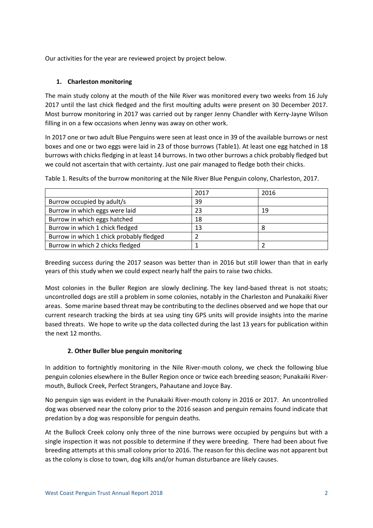Our activities for the year are reviewed project by project below.

# **1. Charleston monitoring**

The main study colony at the mouth of the Nile River was monitored every two weeks from 16 July 2017 until the last chick fledged and the first moulting adults were present on 30 December 2017. Most burrow monitoring in 2017 was carried out by ranger Jenny Chandler with Kerry-Jayne Wilson filling in on a few occasions when Jenny was away on other work.

In 2017 one or two adult Blue Penguins were seen at least once in 39 of the available burrows or nest boxes and one or two eggs were laid in 23 of those burrows (Table1). At least one egg hatched in 18 burrows with chicks fledging in at least 14 burrows. In two other burrows a chick probably fledged but we could not ascertain that with certainty. Just one pair managed to fledge both their chicks.

|                                          | 2017 | 2016 |
|------------------------------------------|------|------|
| Burrow occupied by adult/s               | 39   |      |
| Burrow in which eggs were laid           | 23   | 19   |
| Burrow in which eggs hatched             | 18   |      |
| Burrow in which 1 chick fledged          | 13   |      |
| Burrow in which 1 chick probably fledged |      |      |
| Burrow in which 2 chicks fledged         |      |      |

Table 1. Results of the burrow monitoring at the Nile River Blue Penguin colony, Charleston, 2017.

Breeding success during the 2017 season was better than in 2016 but still lower than that in early years of this study when we could expect nearly half the pairs to raise two chicks.

Most colonies in the Buller Region are slowly declining. The key land-based threat is not stoats; uncontrolled dogs are still a problem in some colonies, notably in the Charleston and Punakaiki River areas. Some marine based threat may be contributing to the declines observed and we hope that our current research tracking the birds at sea using tiny GPS units will provide insights into the marine based threats. We hope to write up the data collected during the last 13 years for publication within the next 12 months.

# **2. Other Buller blue penguin monitoring**

In addition to fortnightly monitoring in the Nile River-mouth colony, we check the following blue penguin colonies elsewhere in the Buller Region once or twice each breeding season; Punakaiki Rivermouth, Bullock Creek, Perfect Strangers, Pahautane and Joyce Bay.

No penguin sign was evident in the Punakaiki River-mouth colony in 2016 or 2017. An uncontrolled dog was observed near the colony prior to the 2016 season and penguin remains found indicate that predation by a dog was responsible for penguin deaths.

At the Bullock Creek colony only three of the nine burrows were occupied by penguins but with a single inspection it was not possible to determine if they were breeding. There had been about five breeding attempts at this small colony prior to 2016. The reason for this decline was not apparent but as the colony is close to town, dog kills and/or human disturbance are likely causes.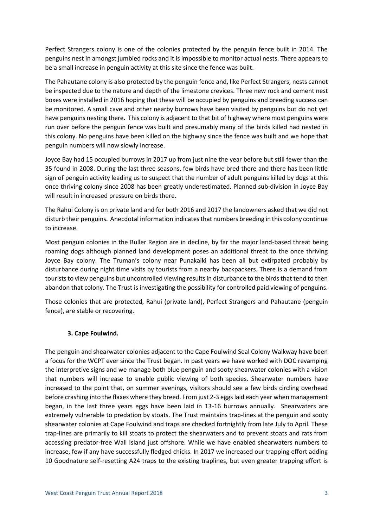Perfect Strangers colony is one of the colonies protected by the penguin fence built in 2014. The penguins nest in amongst jumbled rocks and it is impossible to monitor actual nests. There appears to be a small increase in penguin activity at this site since the fence was built.

The Pahautane colony is also protected by the penguin fence and, like Perfect Strangers, nests cannot be inspected due to the nature and depth of the limestone crevices. Three new rock and cement nest boxes were installed in 2016 hoping that these will be occupied by penguins and breeding success can be monitored. A small cave and other nearby burrows have been visited by penguins but do not yet have penguins nesting there. This colony is adjacent to that bit of highway where most penguins were run over before the penguin fence was built and presumably many of the birds killed had nested in this colony. No penguins have been killed on the highway since the fence was built and we hope that penguin numbers will now slowly increase.

Joyce Bay had 15 occupied burrows in 2017 up from just nine the year before but still fewer than the 35 found in 2008. During the last three seasons, few birds have bred there and there has been little sign of penguin activity leading us to suspect that the number of adult penguins killed by dogs at this once thriving colony since 2008 has been greatly underestimated. Planned sub-division in Joyce Bay will result in increased pressure on birds there.

The Rahui Colony is on private land and for both 2016 and 2017 the landowners asked that we did not disturb their penguins. Anecdotal information indicates that numbers breeding in this colony continue to increase.

Most penguin colonies in the Buller Region are in decline, by far the major land-based threat being roaming dogs although planned land development poses an additional threat to the once thriving Joyce Bay colony. The Truman's colony near Punakaiki has been all but extirpated probably by disturbance during night time visits by tourists from a nearby backpackers. There is a demand from tourists to view penguins but uncontrolled viewing results in disturbance to the birds that tend to then abandon that colony. The Trust is investigating the possibility for controlled paid viewing of penguins.

Those colonies that are protected, Rahui (private land), Perfect Strangers and Pahautane (penguin fence), are stable or recovering.

### **3. Cape Foulwind.**

The penguin and shearwater colonies adjacent to the Cape Foulwind Seal Colony Walkway have been a focus for the WCPT ever since the Trust began. In past years we have worked with DOC revamping the interpretive signs and we manage both blue penguin and sooty shearwater colonies with a vision that numbers will increase to enable public viewing of both species. Shearwater numbers have increased to the point that, on summer evenings, visitors should see a few birds circling overhead before crashing into the flaxes where they breed. From just 2-3 eggs laid each year when management began, in the last three years eggs have been laid in 13-16 burrows annually. Shearwaters are extremely vulnerable to predation by stoats. The Trust maintains trap-lines at the penguin and sooty shearwater colonies at Cape Foulwind and traps are checked fortnightly from late July to April. These trap-lines are primarily to kill stoats to protect the shearwaters and to prevent stoats and rats from accessing predator-free Wall Island just offshore. While we have enabled shearwaters numbers to increase, few if any have successfully fledged chicks. In 2017 we increased our trapping effort adding 10 Goodnature self-resetting A24 traps to the existing traplines, but even greater trapping effort is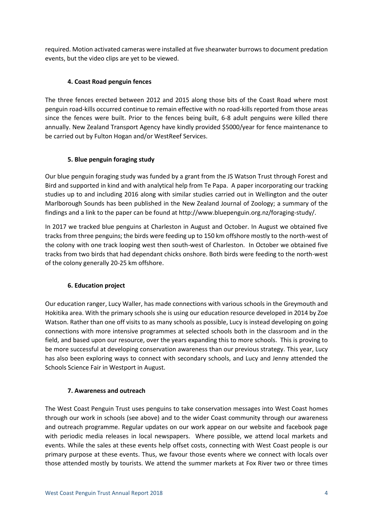required. Motion activated cameras were installed at five shearwater burrows to document predation events, but the video clips are yet to be viewed.

# **4. Coast Road penguin fences**

The three fences erected between 2012 and 2015 along those bits of the Coast Road where most penguin road-kills occurred continue to remain effective with no road-kills reported from those areas since the fences were built. Prior to the fences being built, 6-8 adult penguins were killed there annually. New Zealand Transport Agency have kindly provided \$5000/year for fence maintenance to be carried out by Fulton Hogan and/or WestReef Services.

# **5. Blue penguin foraging study**

Our blue penguin foraging study was funded by a grant from the JS Watson Trust through Forest and Bird and supported in kind and with analytical help from Te Papa. A paper incorporating our tracking studies up to and including 2016 along with similar studies carried out in Wellington and the outer Marlborough Sounds has been published in the New Zealand Journal of Zoology; a summary of the findings and a link to the paper can be found a[t http://www.bluepenguin.org.nz/foraging-study/.](http://www.bluepenguin.org.nz/foraging-study/)

In 2017 we tracked blue penguins at Charleston in August and October. In August we obtained five tracks from three penguins; the birds were feeding up to 150 km offshore mostly to the north-west of the colony with one track looping west then south-west of Charleston. In October we obtained five tracks from two birds that had dependant chicks onshore. Both birds were feeding to the north-west of the colony generally 20-25 km offshore.

# **6. Education project**

Our education ranger, Lucy Waller, has made connections with various schools in the Greymouth and Hokitika area. With the primary schools she is using our education resource developed in 2014 by Zoe Watson. Rather than one off visits to as many schools as possible, Lucy is instead developing on going connections with more intensive programmes at selected schools both in the classroom and in the field, and based upon our resource, over the years expanding this to more schools. This is proving to be more successful at developing conservation awareness than our previous strategy. This year, Lucy has also been exploring ways to connect with secondary schools, and Lucy and Jenny attended the Schools Science Fair in Westport in August.

# **7. Awareness and outreach**

The West Coast Penguin Trust uses penguins to take conservation messages into West Coast homes through our work in schools (see above) and to the wider Coast community through our awareness and outreach programme. Regular updates on our work appear on our website and facebook page with periodic media releases in local newspapers. Where possible, we attend local markets and events. While the sales at these events help offset costs, connecting with West Coast people is our primary purpose at these events. Thus, we favour those events where we connect with locals over those attended mostly by tourists. We attend the summer markets at Fox River two or three times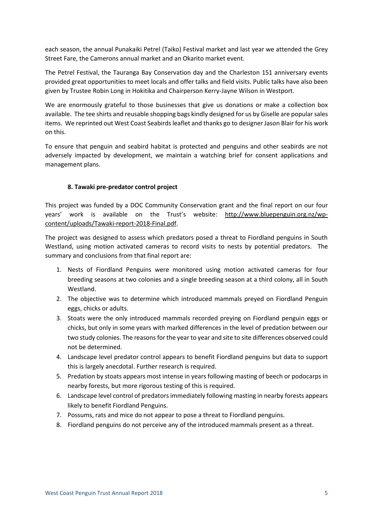each season, the annual Punakaiki Petrel (Taiko) Festival market and last year we attended the Grey Street Fare, the Camerons annual market and an Okarito market event.

The Petrel Festival, the Tauranga Bay Conservation day and the Charleston 151 anniversary events provided great opportunities to meet locals and offer talks and field visits. Public talks have also been given by Trustee Robin Long in Hokitika and Chairperson Kerry-Jayne Wilson in Westport.

We are enormously grateful to those businesses that give us donations or make a collection box available. The tee shirts and reusable shopping bags kindly designed for us by Giselle are popular sales items. We reprinted out West Coast Seabirds leaflet and thanks go to designer Jason Blair for his work on this.

To ensure that penguin and seabird habitat is protected and penguins and other seabirds are not adversely impacted by development, we maintain a watching brief for consent applications and management plans.

# **8. Tawaki pre-predator control project**

This project was funded by a DOC Community Conservation grant and the final report on our four years' work is available on the Trust's website: [http://www.bluepenguin.org.nz/wp](http://www.bluepenguin.org.nz/wp-content/uploads/Tawaki-report-2018-Final.pdf)[content/uploads/Tawaki-report-2018-Final.pdf.](http://www.bluepenguin.org.nz/wp-content/uploads/Tawaki-report-2018-Final.pdf)

The project was designed to assess which predators posed a threat to Fiordland penguins in South Westland, using motion activated cameras to record visits to nests by potential predators. The summary and conclusions from that final report are:

- 1. Nests of Fiordland Penguins were monitored using motion activated cameras for four breeding seasons at two colonies and a single breeding season at a third colony, all in South Westland.
- 2. The objective was to determine which introduced mammals preyed on Fiordland Penguin eggs, chicks or adults.
- 3. Stoats were the only introduced mammals recorded preying on Fiordland penguin eggs or chicks, but only in some years with marked differences in the level of predation between our two study colonies. The reasons for the year to year and site to site differences observed could not be determined.
- 4. Landscape level predator control appears to benefit Fiordland penguins but data to support this is largely anecdotal. Further research is required.
- 5. Predation by stoats appears most intense in years following masting of beech or podocarps in nearby forests, but more rigorous testing of this is required.
- 6. Landscape level control of predators immediately following masting in nearby forests appears likely to benefit Fiordland Penguins.
- 7. Possums, rats and mice do not appear to pose a threat to Fiordland penguins.
- 8. Fiordland penguins do not perceive any of the introduced mammals present as a threat.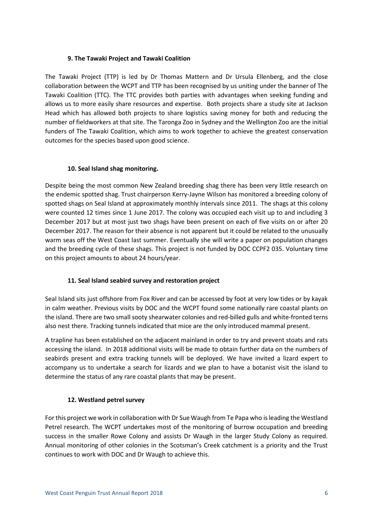## **9. The Tawaki Project and Tawaki Coalition**

The Tawaki Project (TTP) is led by Dr Thomas Mattern and Dr Ursula Ellenberg, and the close collaboration between the WCPT and TTP has been recognised by us uniting under the banner of The Tawaki Coalition (TTC). The TTC provides both parties with advantages when seeking funding and allows us to more easily share resources and expertise. Both projects share a study site at Jackson Head which has allowed both projects to share logistics saving money for both and reducing the number of fieldworkers at that site. The Taronga Zoo in Sydney and the Wellington Zoo are the initial funders of The Tawaki Coalition, which aims to work together to achieve the greatest conservation outcomes for the species based upon good science.

## **10. Seal Island shag monitoring.**

Despite being the most common New Zealand breeding shag there has been very little research on the endemic spotted shag. Trust chairperson Kerry-Jayne Wilson has monitored a breeding colony of spotted shags on Seal Island at approximately monthly intervals since 2011. The shags at this colony were counted 12 times since 1 June 2017. The colony was occupied each visit up to and including 3 December 2017 but at most just two shags have been present on each of five visits on or after 20 December 2017. The reason for their absence is not apparent but it could be related to the unusually warm seas off the West Coast last summer. Eventually she will write a paper on population changes and the breeding cycle of these shags. This project is not funded by DOC CCPF2 035. Voluntary time on this project amounts to about 24 hours/year.

# **11. Seal Island seabird survey and restoration project**

Seal Island sits just offshore from Fox River and can be accessed by foot at very low tides or by kayak in calm weather. Previous visits by DOC and the WCPT found some nationally rare coastal plants on the island. There are two small sooty shearwater colonies and red-billed gulls and white-fronted terns also nest there. Tracking tunnels indicated that mice are the only introduced mammal present.

A trapline has been established on the adjacent mainland in order to try and prevent stoats and rats accessing the island. In 2018 additional visits will be made to obtain further data on the numbers of seabirds present and extra tracking tunnels will be deployed. We have invited a lizard expert to accompany us to undertake a search for lizards and we plan to have a botanist visit the island to determine the status of any rare coastal plants that may be present.

# **12. Westland petrel survey**

For this project we work in collaboration with Dr Sue Waugh from Te Papa who is leading the Westland Petrel research. The WCPT undertakes most of the monitoring of burrow occupation and breeding success in the smaller Rowe Colony and assists Dr Waugh in the larger Study Colony as required. Annual monitoring of other colonies in the Scotsman's Creek catchment is a priority and the Trust continues to work with DOC and Dr Waugh to achieve this.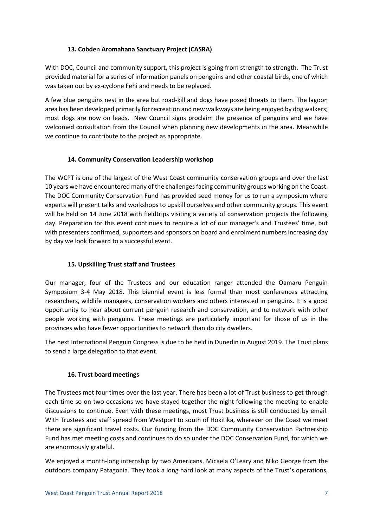# **13. Cobden Aromahana Sanctuary Project (CASRA)**

With DOC, Council and community support, this project is going from strength to strength. The Trust provided material for a series of information panels on penguins and other coastal birds, one of which was taken out by ex-cyclone Fehi and needs to be replaced.

A few blue penguins nest in the area but road-kill and dogs have posed threats to them. The lagoon area has been developed primarily for recreation and new walkways are being enjoyed by dog walkers; most dogs are now on leads. New Council signs proclaim the presence of penguins and we have welcomed consultation from the Council when planning new developments in the area. Meanwhile we continue to contribute to the project as appropriate.

# **14. Community Conservation Leadership workshop**

The WCPT is one of the largest of the West Coast community conservation groups and over the last 10 years we have encountered many of the challenges facing community groups working on the Coast. The DOC Community Conservation Fund has provided seed money for us to run a symposium where experts will present talks and workshops to upskill ourselves and other community groups. This event will be held on 14 June 2018 with fieldtrips visiting a variety of conservation projects the following day. Preparation for this event continues to require a lot of our manager's and Trustees' time, but with presenters confirmed, supporters and sponsors on board and enrolment numbers increasing day by day we look forward to a successful event.

# **15. Upskilling Trust staff and Trustees**

Our manager, four of the Trustees and our education ranger attended the Oamaru Penguin Symposium 3-4 May 2018. This biennial event is less formal than most conferences attracting researchers, wildlife managers, conservation workers and others interested in penguins. It is a good opportunity to hear about current penguin research and conservation, and to network with other people working with penguins. These meetings are particularly important for those of us in the provinces who have fewer opportunities to network than do city dwellers.

The next International Penguin Congress is due to be held in Dunedin in August 2019. The Trust plans to send a large delegation to that event.

# **16. Trust board meetings**

The Trustees met four times over the last year. There has been a lot of Trust business to get through each time so on two occasions we have stayed together the night following the meeting to enable discussions to continue. Even with these meetings, most Trust business is still conducted by email. With Trustees and staff spread from Westport to south of Hokitika, wherever on the Coast we meet there are significant travel costs. Our funding from the DOC Community Conservation Partnership Fund has met meeting costs and continues to do so under the DOC Conservation Fund, for which we are enormously grateful.

We enjoyed a month-long internship by two Americans, Micaela O'Leary and Niko George from the outdoors company Patagonia. They took a long hard look at many aspects of the Trust's operations,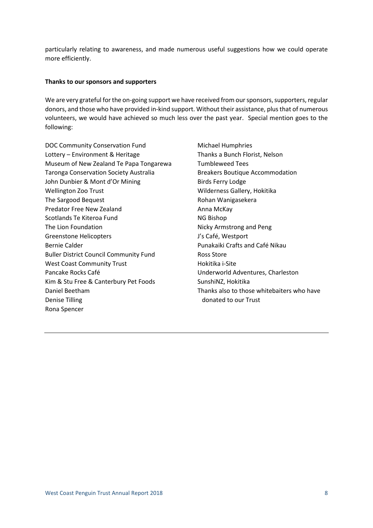particularly relating to awareness, and made numerous useful suggestions how we could operate more efficiently.

#### **Thanks to our sponsors and supporters**

We are very grateful for the on-going support we have received from our sponsors, supporters, regular donors, and those who have provided in-kind support. Without their assistance, plus that of numerous volunteers, we would have achieved so much less over the past year. Special mention goes to the following:

DOC Community Conservation Fund Lottery – Environment & Heritage Museum of New Zealand Te Papa Tongarewa Taronga Conservation Society Australia John Dunbier & Mont d'Or Mining Wellington Zoo Trust The Sargood Bequest Predator Free New Zealand Scotlands Te Kiteroa Fund The Lion Foundation Greenstone Helicopters Bernie Calder Buller District Council Community Fund West Coast Community Trust Pancake Rocks Café Kim & Stu Free & Canterbury Pet Foods Daniel Beetham Denise Tilling Rona Spencer

Michael Humphries Thanks a Bunch Florist, Nelson Tumbleweed Tees Breakers Boutique Accommodation Birds Ferry Lodge Wilderness Gallery, Hokitika Rohan Wanigasekera Anna McKay NG Bishop Nicky Armstrong and Peng J's Café, Westport Punakaiki Crafts and Café Nikau Ross Store Hokitika i-Site Underworld Adventures, Charleston SunshiNZ, Hokitika Thanks also to those whitebaiters who have donated to our Trust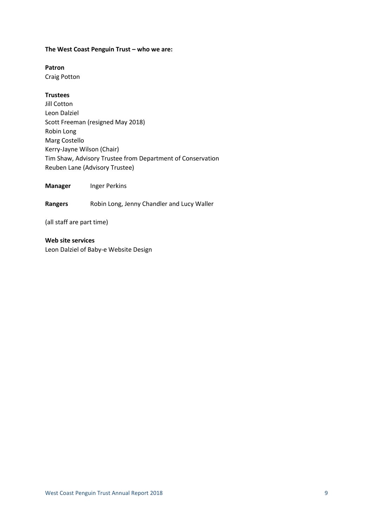### **The West Coast Penguin Trust – who we are:**

## **Patron**

Craig Potton

## **Trustees**

Jill Cotton Leon Dalziel Scott Freeman (resigned May 2018) Robin Long Marg Costello Kerry-Jayne Wilson (Chair) Tim Shaw, Advisory Trustee from Department of Conservation Reuben Lane (Advisory Trustee)

**Manager Inger Perkins** 

**Rangers** Robin Long, Jenny Chandler and Lucy Waller

(all staff are part time)

**Web site services** Leon Dalziel of Baby-e Website Design